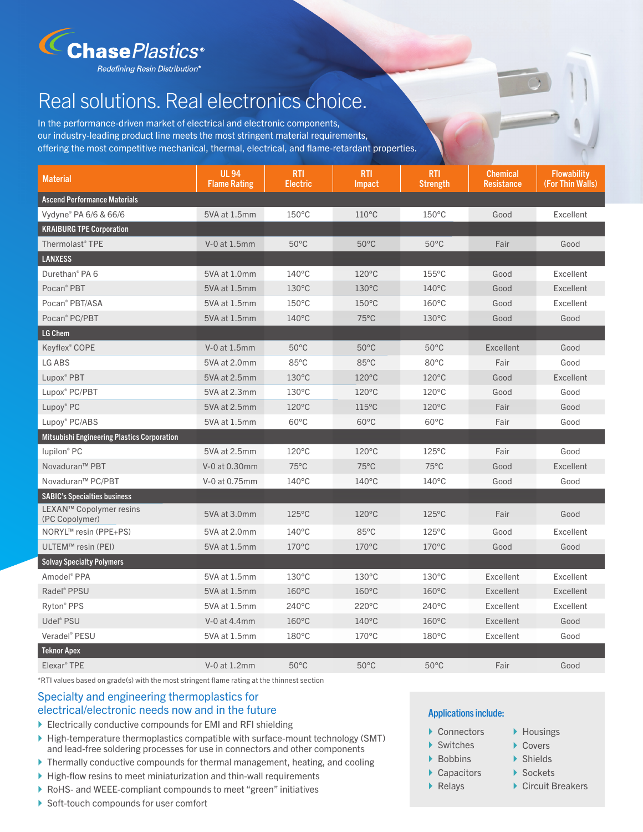

# Real solutions. Real electronics choice.

In the performance-driven market of electrical and electronic components, our industry-leading product line meets the most stringent material requirements, offering the most competitive mechanical, thermal, electrical, and flame-retardant properties.

| <b>Material</b>                                    | <b>UL 94</b><br><b>Flame Rating</b> | <b>RTI</b><br><b>Electric</b> | <b>RTI</b><br>Impact | <b>RTI</b><br><b>Strength</b> | <b>Chemical</b><br><b>Resistance</b> | <b>Flowability</b><br>(For Thin Walls) |
|----------------------------------------------------|-------------------------------------|-------------------------------|----------------------|-------------------------------|--------------------------------------|----------------------------------------|
| <b>Ascend Performance Materials</b>                |                                     |                               |                      |                               |                                      |                                        |
| Vydyne® PA 6/6 & 66/6                              | 5VA at 1.5mm                        | $150^{\circ}$ C               | $110^{\circ}$ C      | $150^{\circ}$ C               | Good                                 | Excellent                              |
| <b>KRAIBURG TPE Corporation</b>                    |                                     |                               |                      |                               |                                      |                                        |
| Thermolast® TPE                                    | V-0 at 1.5mm                        | $50^{\circ}$ C                | $50^{\circ}$ C       | $50^{\circ}$ C                | Fair                                 | Good                                   |
| <b>LANXESS</b>                                     |                                     |                               |                      |                               |                                      |                                        |
| Durethan <sup>®</sup> PA 6                         | 5VA at 1.0mm                        | $140^{\circ}$ C               | $120^{\circ}$ C      | $155^{\circ}$ C               | Good                                 | Excellent                              |
| Pocan <sup>®</sup> PBT                             | 5VA at 1.5mm                        | $130^{\circ}$ C               | $130^{\circ}$ C      | $140^{\circ}$ C               | Good                                 | Excellent                              |
| Pocan <sup>®</sup> PBT/ASA                         | 5VA at 1.5mm                        | $150^{\circ}$ C               | 150°C                | $160^{\circ}$ C               | Good                                 | Excellent                              |
| Pocan <sup>®</sup> PC/PBT                          | 5VA at 1.5mm                        | $140^{\circ}$ C               | $75^{\circ}$ C       | $130^{\circ}$ C               | Good                                 | Good                                   |
| LG Chem                                            |                                     |                               |                      |                               |                                      |                                        |
| Keyflex <sup>®</sup> COPE                          | V-0 at 1.5mm                        | $50^{\circ}$ C                | $50^{\circ}$ C       | $50^{\circ}$ C                | Excellent                            | Good                                   |
| LG ABS                                             | 5VA at 2.0mm                        | $85^{\circ}$ C                | 85°C                 | $80^{\circ}$ C                | Fair                                 | Good                                   |
| Lupox <sup>®</sup> PBT                             | 5VA at 2.5mm                        | $130^{\circ}$ C               | $120^{\circ}$ C      | $120^{\circ}$ C               | Good                                 | Excellent                              |
| Lupox <sup>®</sup> PC/PBT                          | 5VA at 2.3mm                        | $130^{\circ}$ C               | $120^{\circ}$ C      | $120^{\circ}$ C               | Good                                 | Good                                   |
| Lupoy® PC                                          | 5VA at 2.5mm                        | 120°C                         | $115^{\circ}$ C      | $120^{\circ}$ C               | Fair                                 | Good                                   |
| Lupoy® PC/ABS                                      | 5VA at 1.5mm                        | $60^{\circ}$ C                | $60^{\circ}$ C       | $60^{\circ}$ C                | Fair                                 | Good                                   |
| <b>Mitsubishi Engineering Plastics Corporation</b> |                                     |                               |                      |                               |                                      |                                        |
| lupilon <sup>®</sup> PC                            | 5VA at 2.5mm                        | $120^{\circ}$ C               | $120^{\circ}$ C      | $125^{\circ}$ C               | Fair                                 | Good                                   |
| Novaduran <sup>™</sup> PBT                         | V-0 at 0.30mm                       | $75^{\circ}$ C                | $75^{\circ}$ C       | $75^{\circ}$ C                | Good                                 | Excellent                              |
| Novaduran™ PC/PBT                                  | V-0 at 0.75mm                       | $140^{\circ}$ C               | $140^{\circ}$ C      | $140^{\circ}$ C               | Good                                 | Good                                   |
| <b>SABIC's Specialties business</b>                |                                     |                               |                      |                               |                                      |                                        |
| LEXAN™ Copolymer resins<br>(PC Copolymer)          | 5VA at 3.0mm                        | $125^{\circ}$ C               | $120^{\circ}$ C      | $125^{\circ}$ C               | Fair                                 | Good                                   |
| NORYL <sup>™</sup> resin (PPE+PS)                  | 5VA at 2.0mm                        | $140^{\circ}$ C               | 85°C                 | $125^{\circ}$ C               | Good                                 | Excellent                              |
| ULTEM™ resin (PEI)                                 | 5VA at 1.5mm                        | $170^{\circ}$ C               | 170°C                | $170^{\circ}$ C               | Good                                 | Good                                   |
| <b>Solvay Specialty Polymers</b>                   |                                     |                               |                      |                               |                                      |                                        |
| Amodel <sup>®</sup> PPA                            | 5VA at 1.5mm                        | $130^{\circ}$ C               | $130^{\circ}$ C      | $130^{\circ}$ C               | Excellent                            | Excellent                              |
| Radel <sup>®</sup> PPSU                            | 5VA at 1.5mm                        | $160^{\circ}$ C               | $160^{\circ}$ C      | $160^{\circ}$ C               | Excellent                            | Excellent                              |
| Ryton <sup>®</sup> PPS                             | 5VA at 1.5mm                        | $240^{\circ}$ C               | $220^{\circ}$ C      | $240^{\circ}$ C               | Excellent                            | Excellent                              |
| Udel <sup>®</sup> PSU                              | V-0 at 4.4mm                        | $160^{\circ}$ C               | 140°C                | $160^{\circ}$ C               | Excellent                            | Good                                   |
| Veradel <sup>®</sup> PESU                          | 5VA at 1.5mm                        | $180^{\circ}$ C               | $170^{\circ}$ C      | 180°C                         | Excellent                            | Good                                   |
| <b>Teknor Apex</b>                                 |                                     |                               |                      |                               |                                      |                                        |
| Elexar <sup>®</sup> TPE                            | V-0 at 1.2mm                        | $50^{\circ}$ C                | $50^{\circ}$ C       | $50^{\circ}$ C                | Fair                                 | Good                                   |

\*RTI values based on grade(s) with the most stringent flame rating at the thinnest section

# Specialty and engineering thermoplastics for electrical/electronic needs now and in the future

- ▶ Electrically conductive compounds for EMI and RFI shielding
- } High-temperature thermoplastics compatible with surface-mount technology (SMT) and lead-free soldering processes for use in connectors and other components
- } Thermally conductive compounds for thermal management, heating, and cooling
- $\blacktriangleright$  High-flow resins to meet miniaturization and thin-wall requirements
- } RoHS- and WEEE-compliant compounds to meet "green" initiatives
- ▶ Soft-touch compounds for user comfort

# Applications include:

- ▶ Connectors
- ▶ Switches
- ▶ Bobbins
- ▶ Capacitors
- ▶ Relays
- ▶ Housings ▶ Covers
- ▶ Shields
- ▶ Sockets
- ▶ Circuit Breakers